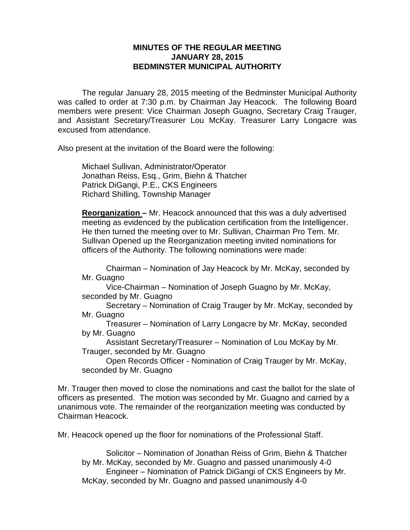# **MINUTES OF THE REGULAR MEETING JANUARY 28, 2015 BEDMINSTER MUNICIPAL AUTHORITY**

The regular January 28, 2015 meeting of the Bedminster Municipal Authority was called to order at 7:30 p.m. by Chairman Jay Heacock. The following Board members were present: Vice Chairman Joseph Guagno, Secretary Craig Trauger, and Assistant Secretary/Treasurer Lou McKay. Treasurer Larry Longacre was excused from attendance.

Also present at the invitation of the Board were the following:

Michael Sullivan, Administrator/Operator Jonathan Reiss, Esq., Grim, Biehn & Thatcher Patrick DiGangi, P.E., CKS Engineers Richard Shilling, Township Manager

**Reorganization –** Mr. Heacock announced that this was a duly advertised meeting as evidenced by the publication certification from the Intelligencer. He then turned the meeting over to Mr. Sullivan, Chairman Pro Tem. Mr. Sullivan Opened up the Reorganization meeting invited nominations for officers of the Authority. The following nominations were made:

Chairman – Nomination of Jay Heacock by Mr. McKay, seconded by Mr. Guagno

Vice-Chairman – Nomination of Joseph Guagno by Mr. McKay, seconded by Mr. Guagno

Secretary – Nomination of Craig Trauger by Mr. McKay, seconded by Mr. Guagno

Treasurer – Nomination of Larry Longacre by Mr. McKay, seconded by Mr. Guagno

Assistant Secretary/Treasurer – Nomination of Lou McKay by Mr. Trauger, seconded by Mr. Guagno

Open Records Officer - Nomination of Craig Trauger by Mr. McKay, seconded by Mr. Guagno

Mr. Trauger then moved to close the nominations and cast the ballot for the slate of officers as presented. The motion was seconded by Mr. Guagno and carried by a unanimous vote. The remainder of the reorganization meeting was conducted by Chairman Heacock.

Mr. Heacock opened up the floor for nominations of the Professional Staff.

Solicitor – Nomination of Jonathan Reiss of Grim, Biehn & Thatcher by Mr. McKay, seconded by Mr. Guagno and passed unanimously 4-0 Engineer – Nomination of Patrick DiGangi of CKS Engineers by Mr. McKay, seconded by Mr. Guagno and passed unanimously 4-0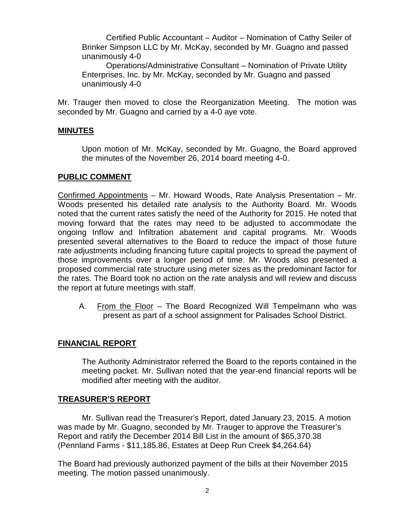Certified Public Accountant – Auditor – Nomination of Cathy Seiler of Brinker Simpson LLC by Mr. McKay, seconded by Mr. Guagno and passed unanimously 4-0

Operations/Administrative Consultant – Nomination of Private Utility Enterprises, Inc. by Mr. McKay, seconded by Mr. Guagno and passed unanimously 4-0

Mr. Trauger then moved to close the Reorganization Meeting. The motion was seconded by Mr. Guagno and carried by a 4-0 aye vote.

### **MINUTES**

Upon motion of Mr. McKay, seconded by Mr. Guagno, the Board approved the minutes of the November 26, 2014 board meeting 4-0.

#### **PUBLIC COMMENT**

Confirmed Appointments – Mr. Howard Woods, Rate Analysis Presentation – Mr. Woods presented his detailed rate analysis to the Authority Board. Mr. Woods noted that the current rates satisfy the need of the Authority for 2015. He noted that moving forward that the rates may need to be adjusted to accommodate the ongoing Inflow and Infiltration abatement and capital programs. Mr. Woods presented several alternatives to the Board to reduce the impact of those future rate adjustments including financing future capital projects to spread the payment of those improvements over a longer period of time. Mr. Woods also presented a proposed commercial rate structure using meter sizes as the predominant factor for the rates. The Board took no action on the rate analysis and will review and discuss the report at future meetings with staff.

A. From the Floor – The Board Recognized Will Tempelmann who was present as part of a school assignment for Palisades School District.

## **FINANCIAL REPORT**

The Authority Administrator referred the Board to the reports contained in the meeting packet. Mr. Sullivan noted that the year-end financial reports will be modified after meeting with the auditor.

## **TREASURER'S REPORT**

Mr. Sullivan read the Treasurer's Report, dated January 23, 2015. A motion was made by Mr. Guagno, seconded by Mr. Trauger to approve the Treasurer's Report and ratify the December 2014 Bill List in the amount of \$65,370.38 (Pennland Farms - \$11,185.86, Estates at Deep Run Creek \$4,264.64)

The Board had previously authorized payment of the bills at their November 2015 meeting. The motion passed unanimously.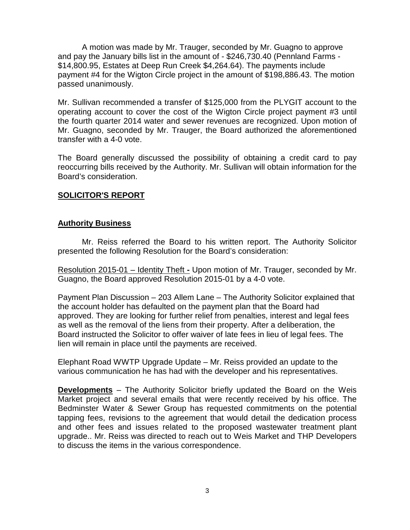A motion was made by Mr. Trauger, seconded by Mr. Guagno to approve and pay the January bills list in the amount of - \$246,730.40 (Pennland Farms - \$14,800.95, Estates at Deep Run Creek \$4,264.64). The payments include payment #4 for the Wigton Circle project in the amount of \$198,886.43. The motion passed unanimously.

Mr. Sullivan recommended a transfer of \$125,000 from the PLYGIT account to the operating account to cover the cost of the Wigton Circle project payment #3 until the fourth quarter 2014 water and sewer revenues are recognized. Upon motion of Mr. Guagno, seconded by Mr. Trauger, the Board authorized the aforementioned transfer with a 4-0 vote.

The Board generally discussed the possibility of obtaining a credit card to pay reoccurring bills received by the Authority. Mr. Sullivan will obtain information for the Board's consideration.

## **SOLICITOR'S REPORT**

### **Authority Business**

Mr. Reiss referred the Board to his written report. The Authority Solicitor presented the following Resolution for the Board's consideration:

Resolution 2015-01 – Identity Theft **-** Upon motion of Mr. Trauger, seconded by Mr. Guagno, the Board approved Resolution 2015-01 by a 4-0 vote.

Payment Plan Discussion – 203 Allem Lane – The Authority Solicitor explained that the account holder has defaulted on the payment plan that the Board had approved. They are looking for further relief from penalties, interest and legal fees as well as the removal of the liens from their property. After a deliberation, the Board instructed the Solicitor to offer waiver of late fees in lieu of legal fees. The lien will remain in place until the payments are received.

Elephant Road WWTP Upgrade Update – Mr. Reiss provided an update to the various communication he has had with the developer and his representatives.

**Developments** – The Authority Solicitor briefly updated the Board on the Weis Market project and several emails that were recently received by his office. The Bedminster Water & Sewer Group has requested commitments on the potential tapping fees, revisions to the agreement that would detail the dedication process and other fees and issues related to the proposed wastewater treatment plant upgrade.. Mr. Reiss was directed to reach out to Weis Market and THP Developers to discuss the items in the various correspondence.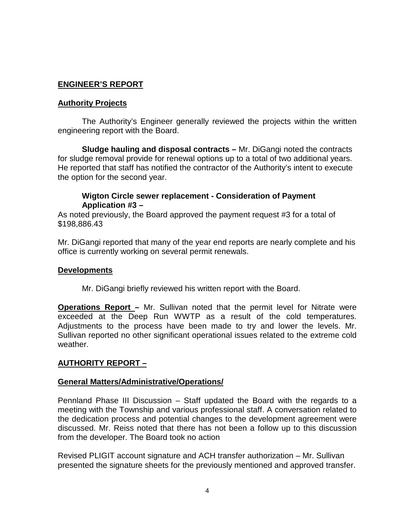# **ENGINEER'S REPORT**

### **Authority Projects**

The Authority's Engineer generally reviewed the projects within the written engineering report with the Board.

**Sludge hauling and disposal contracts –** Mr. DiGangi noted the contracts for sludge removal provide for renewal options up to a total of two additional years. He reported that staff has notified the contractor of the Authority's intent to execute the option for the second year.

# **Wigton Circle sewer replacement - Consideration of Payment Application #3 –**

As noted previously, the Board approved the payment request #3 for a total of \$198,886.43

Mr. DiGangi reported that many of the year end reports are nearly complete and his office is currently working on several permit renewals.

## **Developments**

Mr. DiGangi briefly reviewed his written report with the Board.

**Operations Report –** Mr. Sullivan noted that the permit level for Nitrate were exceeded at the Deep Run WWTP as a result of the cold temperatures. Adjustments to the process have been made to try and lower the levels. Mr. Sullivan reported no other significant operational issues related to the extreme cold weather.

## **AUTHORITY REPORT –**

## **General Matters/Administrative/Operations/**

Pennland Phase III Discussion – Staff updated the Board with the regards to a meeting with the Township and various professional staff. A conversation related to the dedication process and potential changes to the development agreement were discussed. Mr. Reiss noted that there has not been a follow up to this discussion from the developer. The Board took no action

Revised PLIGIT account signature and ACH transfer authorization – Mr. Sullivan presented the signature sheets for the previously mentioned and approved transfer.